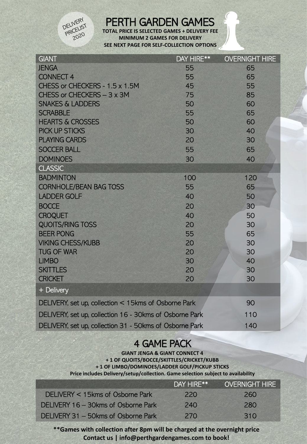

## PERTH GARDEN GAMES

**TOTAL PRICE IS SELECTED GAMES + DELIVERY FEE MINIMUM 2 GAMES FOR DELIVERY SEE NEXT PAGE FOR SELF-COLLECTION OPTIONS**

| <b>GIANT</b>                                            | DAY HIRE** | <b>OVERNIGHT HIRE</b> |
|---------------------------------------------------------|------------|-----------------------|
| <b>JENGA</b>                                            | 55         | 65                    |
| <b>CONNECT 4</b>                                        | 55         | 65                    |
| CHESS or CHECKERS - 1.5 x 1.5M                          | 45         | 55                    |
| CHESS or CHECKERS - 3 x 3M                              | 75         | 85                    |
| <b>SNAKES &amp; LADDERS</b>                             | 50         | 60                    |
| <b>SCRABBLE</b>                                         | 55         | 65                    |
| <b>HEARTS &amp; CROSSES</b>                             | 50         | 60                    |
| <b>PICK UP STICKS</b>                                   | 30         | 40                    |
| <b>PLAYING CARDS</b>                                    | 20         | 30                    |
| <b>SOCCER BALL</b>                                      | 55         | 65                    |
| <b>DOMINOES</b>                                         | 30         | 40                    |
| <b>CLASSIC</b>                                          |            |                       |
| <b>BADMINTON</b>                                        | 100        | 120                   |
| <b>CORNHOLE/BEAN BAG TOSS</b>                           | 55         | 65                    |
| <b>LADDER GOLF</b>                                      | 40         | 50                    |
| <b>BOCCE</b>                                            | 20         | 30                    |
| <b>CROQUET</b>                                          | 40         | 50                    |
| <b>QUOITS/RING TOSS</b>                                 | 20         | 30                    |
| <b>BEER PONG</b>                                        | 55         | 65                    |
| <b>VIKING CHESS/KUBB</b>                                | 20         | 30                    |
| <b>TUG OF WAR</b>                                       | 20         | 30                    |
| <b>LIMBO</b>                                            | 30         | 40                    |
| <b>SKITTLES</b>                                         | 20         | 30                    |
| <b>CRICKET</b>                                          | 20         | 30                    |
| + Delivery                                              |            |                       |
| DELIVERY, set up, collection < 15kms of Osborne Park    |            | 90                    |
| DELIVERY, set up, collection 16 - 30kms of Osborne Park |            | 110                   |
| DELIVERY, set up, collection 31 - 50kms of Osborne Park |            | 140                   |

## **4 GAME PACK**

**GIANT JENGA & GIANT CONNECT 4 + 1 OF QUOITS/BOCCE/SKITTLES/CRICKET/KUBB + 1 OF LIMBO/DOMINOES/LADDER GOLF/PICKUP STICKS Price includes Delivery/setup/collection. Game selection subject to availability**

|                                     | DAY HIRE**      | <b>OVERNIGHT HIRE</b> |
|-------------------------------------|-----------------|-----------------------|
| DELIVERY < 15kms of Osborne Park    | 220             | 260                   |
| DELIVERY 16 - 30kms of Osborne Park | 24 <sub>0</sub> | 280                   |
| DELIVERY 31 - 50kms of Osborne Park | 270             | 310                   |

**\*\*Games with collection after 8pm will be charged at the overnight price Contact us | info@perthgardengames.com to book!**